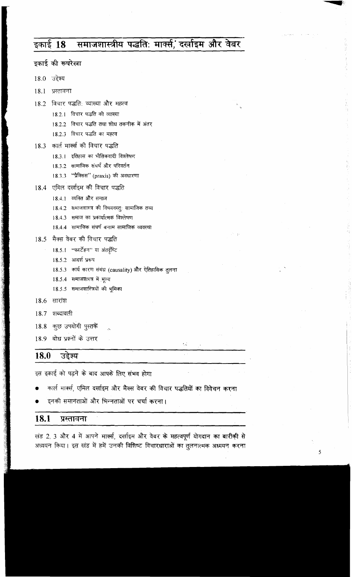### समाजशास्त्रीय पद्धति: मार्क्स, दर्खाइम और वेबर इकाई 18

| इकाई की रूपरेखा                                       |             |  |
|-------------------------------------------------------|-------------|--|
| उद्देश्य<br>18.0                                      |             |  |
| 18.1<br>प्रस्तावना                                    |             |  |
| विचार पद्धति: व्याख्या और महत्व<br>18.2               | $\hat{f}_n$ |  |
| 18.2.1 विचार पद्धति की व्याख्या                       |             |  |
| 18.2.2 विचार पद्धति तथा शोध तकनीक में अंतर            |             |  |
| 18.2.3 विचार पद्धति का महत्व                          |             |  |
| कार्ल मार्क्स की विचार पद्धति<br>18.3                 |             |  |
| 18.3.1 इतिहास का भौतिकवादी विश्लेषण                   |             |  |
| 18.3.2 सामाजिक संघर्ष और परिवर्तन                     |             |  |
| 18.3.3 "प्रैक्सिस" (praxis) की अवधारणा                |             |  |
| 18.4 एमिल दर्खाइम की विचार पद्धति                     |             |  |
| 18.4.1 व्यक्ति और समाज                                |             |  |
| 18.4.2 समाजशास्त्र की विषयवस्तुः सामाजिक तथ्य         |             |  |
| 18.4.3 समाज का प्रकार्यात्मक विश्लेषण                 |             |  |
| 18.4.4 सामाजिक संघर्ष बनाम सामाजिक व्यवस्था           | 经一款         |  |
| मैक्स वेबर की विचार पद्धति<br>18.5                    |             |  |
| 18.5.1 "फर्स्टेहन" या अंतर्दृष्टि                     |             |  |
| 18.5.2 आदर्श प्ररूप                                   |             |  |
| 18.5.3 कार्य कारण संबंध (causality) और ऐतिहासिक तुलना |             |  |
| 18.5.4 समाजशास्त्र में मूल्य                          |             |  |
| 18.5.5 समाजशास्त्रियों की भूमिका                      |             |  |
| 18.6<br>सारांश                                        |             |  |
| 18.7 शब्दावली                                         |             |  |
| कुछ उपयोगी पुस्तकें<br>$18.8\,$                       |             |  |
| बोध प्रश्नों के उत्तर<br>18.9                         |             |  |
|                                                       | 64          |  |
| उद्देश्य<br>18.0                                      |             |  |

इस इकाई को पढ़ने के बाद आपके लिए संभव होगा

- कार्ल मार्क्स, एमिल दर्खाइम और मैक्स वेबर की विचार पद्धतियों का विवेचन करना
- इनकी समानताओं और भिन्नताओं पर चर्चा करना।

### 18.1 प्रस्तावना

खंड 2, 3 और 4 में आपने मार्क्स, दर्खाइम और वेबर के महत्वपूर्ण योगदान का बारीकी से अध्ययन किया। इस खंड में हमें उनकी विशिष्ट विचारधाराओं का तुलनात्मक अध्ययन करना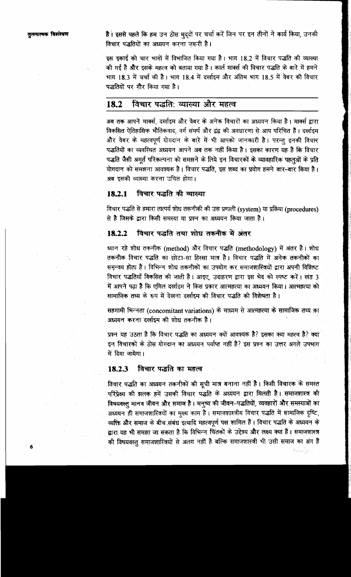है। इससे पहले कि हम उन ठोस मुद्दों पर चर्चा करें जिन पर इन तीनों ने कार्य किया, उनकी विचार पद्धतियों का अध्ययन करना जरूरी है।

इस इकाई को चार भागों में विभाजित किया गया है। भाग 18.2 में विचार पद्धति की व्याख्या की गई है और इसके महत्व को बताया गया है। कार्ल मार्क्स की विचार पद्धति के बारे में हमने भाग 18.3 में चर्चा की है। भाग 18.4 में दर्खाइम और अंतिम भाग 18.5 में वेबर की विचार पद्धतियों पर गौर किया गया है।

### विचार पद्धति: व्याख्या और महत्व 18.2

अब तक आपने मार्क्स, दर्खाइम और वेबर के अनेक विचारों का अध्ययन किया है। मार्क्स द्वारा विकसित ऐतिहासिक भौतिकवाद, वर्ग संघर्ष और द्वंद्व की अवधारणा से आप परिचित हैं। दर्खाइम और वेबर के महत्वपूर्ण योगदान के बारे में भी आपको जानकारी है। परन्तु इनकी विचार पद्धतियों का व्यवस्थित अध्ययन आपने अब तक नहीं किया है। इसका कारण यह है कि विचार पद्धति जैसी अमूर्त परिकल्पना को समझने के लिये इन विचारकों के व्यावहारिक पहलुओं के प्रति योगदान को समझना आवश्यक है। विचार पद्धति, इस शब्द का प्रयोग हमने बार-बार किया है। अब इसकी व्याख्या करना उचित होगा।

**18.2.1 विचार पद्धति की व्याख्या**<br>विचार पद्धति से हमारा तात्पर्य शोध तकनीकी की उस प्रणाली (system) या प्रक्रिया (procedures) से है जिसके द्वारा किसी समस्या या प्रश्न का अध्ययन किया जाता है।

**18.2.2 विचार पद्धति तथा शोध तकनीक में अंतर<br>ध्यान रहे शोध तकनीक (method) और विचार पद्धति (methodology) में अंतर है। शोध** तकनीक विचार पद्धति का छोटा-सा हिस्सा मात्र है। विचार पद्धति में अनेक तकनीकों का समन्वय होता है। विभिन्न शोध तकनीकों का उपयोग कर समाजशास्त्रियों द्वारा अपनी विशिष्ट विचार पद्धतियाँ विकसित की जाती है। आइए, उदाहरण द्वारा इस भेद को स्पष्ट करें। खंड 3<br>में आपने पढ़ा है कि एमिल दर्खाइम ने किस प्रकार आत्महत्या का अध्ययन किया। आत्महत्या को<br>सामाजिक तथ्य के रूप में देखना दर्खाइम की विचार पद्धत

अध्ययन करना दर्लाइम की शोध तकनीक है।

प्रश्न यह उठता है कि विचार पद्धति का अध्ययन क्यों आवश्यक है? इसका क्या महत्व है? क्या इन विचारकों के ठोस योगदान का अध्ययन पर्याप्त नहीं है? इस प्रश्न का उत्तर अगले उपभाग में दिया जायेगा।

# 18.2.3 विचार पद्धति का महत्व

विचार पद्धति का अध्ययन तकनीकों की सूची मात्र बनाना नहीं है। किसी विचारक के समस्त परिप्रेक्ष्य की झलक हमें उसकी विचार पद्धति के अध्ययन द्वारा मिलती है। समाजशास्त्र की विषयवस्तु मानव जीवन और समाज है। मनुष्य की जीवन-पद्धतियों, व्यवहारों और समस्याओं का अध्ययन ही समाजशास्त्रियों का मुख्य काम है। समाजशास्त्रीय विचार पद्धति में सामाजिक दृष्टि, व्यक्ति और समाज के बीच संबंध इत्यादि महत्वपूर्ण पक्ष शामिल हैं। विचार पद्धति के अध्ययन के द्वारा यह भी समझा जा सकता है कि विभिन्न चिंतकों के उद्देश्य और लक्ष्य क्या हैं। समाजशास्त्र की विषयवस्तु समाजशास्त्रियों से अलग नहीं है बल्कि समाजशास्त्री भी उसी समाज का अंग हैं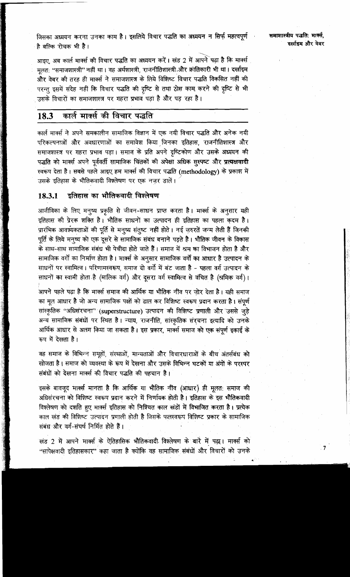जिसका अध्ययन करना उनका काम है। इसलिये विचार पद्धति का अध्ययन न सिर्फ महत्वपूर्ण है बल्कि रोचक भी है।

आइए, अब कार्ल मार्क्स की विचार पद्धति का अध्ययन करें। खंड 2 में आपने पढ़ा है कि मार्क्स मूलत: "समाजशास्त्री" नहीं था। वह अर्थशास्त्री, राजनीतिशास्त्री और क्रांतिकारी भी था। दर्खाइम और वेबर की तरह ही मार्क्स ने समाजशास्त्र के लिये विशिष्ट विचार पद्धति विकसित नहीं की परन्तु इसमें संदेह नहीं कि विचार पद्धति की दृष्टि से तथा ठोस काम करने की दृष्टि से भी उसके विचारों का समाजशास्त्र पर गहरा प्रभाव पड़ा है और पड़ रहा है।

### कार्ल मार्क्स की विचार पद्धति 18.3

कार्ल मार्क्स ने अपने समकालीन सामाजिक विज्ञान में एक नयी विचार पद्धति और अनेक नयी परिकल्पनाओं और अवधारणाओं का समावेश किया जिनका इतिहास, राजनीतिशास्त्र और समाजशास्त्र पर गहरा प्रभाव पड़ा। समाज के प्रति अपने दृष्टिकोण और उसके अध्ययन की पद्धति को मार्क्स अपने पूर्ववर्ती सामाजिक चिंतकों की अपेक्षा अधिक सुस्पष्ट और प्रत्यक्षवादी स्वरूप देता है। सबसे पहले आइए हम मार्क्स की विचार पद्धति (methodology) के प्रकाश में उसके इतिहास के भौतिकवादी विश्लेषण पर एक नजर डालें।

#### इतिहास का भौतिकवादी विश्लेषण 18.3.1

आजीविका के लिए मनुष्य प्रकृति से जीवन-साधन प्राप्त करता है। मार्क्स के अनुसार यही इतिहास की प्रेरक शक्ति है। भौतिक साधनों का उत्पादन ही इतिहास का पहला कदम है। प्रारंभिक आवर्ष्यकताओं की पूर्ति से मनूष्य संतुष्ट नहीं होते। नई ज़रुरतें जन्म लेती हैं जिनकी पूर्ति के लिये मनूष्य को एक दूसरे से सामाजिक संबंध बनाने पड़ते है। भौतिक जीवन के विकास के साथ-साथ सामाजिक संबंध भी पेचीदा होते जाते हैं। समाज में श्रम का विभाजन होता है और सामाजिक वर्गों का निर्माण होता है। मार्क्स के अनुसार सामाजिक वर्गों का आधार है उत्पादन के साधनों पर स्वामित्व। परिणामस्वरूप, समाज दो वर्गो में बंट जाता है - पहला वर्ग उत्पादन के साधनों का स्वामी होता है (मालिक वर्ग) और दूसरा वर्ग स्वामित्व से वंचित है (श्रमिक वर्ग)।

आपने पहले पढा है कि मार्क्स समाज की आर्थिक या भौतिक नींव पर जोर देता है। यही समाज का मूल आधार है जो अन्य सामाजिक पक्षों को ढाल कर विशिष्ट स्वरूप प्रदान करता है। संपूर्ण सांस्कृतिक "अधिसंरचना" (superstructure) उत्पादन की विशिष्ट प्रणाली और उससे जुड़े अन्य सामाजिक संबंधों पर स्थित है। न्याय, राजनीति, सांस्कृतिक संरचना इत्यादि को उनके आर्थिक आधार से अलग किया जा सकता है। इस प्रकार, मार्क्स समाज को एक संपूर्ण इकाई के रूप में देखता है।

वह समाज के विभिन्न समूहों, संस्थाओं, मान्यताओं और विचारधाराओं के बीच अंतर्सबंध को खोजता है। समाज को व्यवस्था के रूप में देखना और उसके विभिन्न घटकों या अंगों के परस्पर संबंधों को देखना मार्क्स की विचार पद्धति की पहचान है।

इसके बावजूद मार्क्स मानता है कि आर्थिक या भौतिक नींव (आधार) ही मूलत: समाज की अधिसंरचना को विशिष्ट स्वरूप प्रदान करने में निर्णायक होती है। इतिहास के इस भौतिकवादी विश्लेषण को दर्शाते हुए मार्क्स इतिहास को निश्चित काल खंडों में विभाजित करता है। प्रत्येक काल खंड की विशिष्ट उत्पादन प्रणाली होती है जिसके फलस्वरूप विशिष्ट प्रकार के सामाजिक संबंध और वर्ग-संघर्ष निर्मित होते हैं।

खंड 2 में आपने मार्क्स के ऐतिहासिक भौतिकवादी विश्लेषण के बारे में पद्ध। मार्क्स को "सापेक्षवादी इतिहासकार" कहा जाता है क्योंकि वह सामाजिक संबंधों और विचारों को उनके

 $\overline{7}$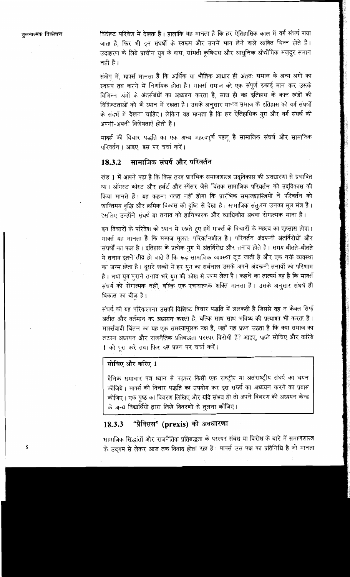विशिष्ट परिवेश में देखता है। हालांकि वह मानता है कि हर ऐतिहासिक काल में वर्ग संघर्ष पाया जाता है. फिर भी इन संघर्षों के स्वरूप और उनमें भाग लेने वाले व्यक्ति भिन्न होते हैं। उदाहरण के लिये प्राचीन युग के दास, सांमती कृषिदास और आधुनिक औद्योगिक मज़दूर समान नहीं हैं।

संक्षेप में, मार्क्स मानता है कि आर्थिक या भौतिक आधार ही अंतत: समाज के अन्य अगों का स्वरूप तय करने में निर्णायक होता है। मार्क्स समाज को एक संपूर्ण इकाई मान कर उसके विभिन्न अंगों के अंतर्सबंधों का अध्ययन करता है, साथ ही वह इतिहास के काल खंडों की विशिष्टताओं को भी ध्यान में रखता है। उसके अनुसार मानव समाज के इतिहास को वर्ग संघर्षों के संदर्भ में देखना चाहिए। लेकिन वह मानता है कि हर ऐतिहासिक युग और वर्ग संघर्ष की अपनी-अपनी विशेषताएँ होती हैं।

मार्क्स की विचार पद्धति का एक अन्य महत्वपूर्ण पहलू है सामाजिक संघर्ष और सामाजिक परिवर्तन। आइए. इस पर चर्चा करें।

#### सामाजिक संघर्ष और परिवर्तन 18.3.2

खंड 1 में आपने पढ़ा है कि किस तरह प्रारंभिक समाजशास्त्र उद्विकास की अवधारणा से प्रभावित था। ऑगस्ट कॉस्ट और हर्बर्ट और स्पेंसर जैसे चिंतक सामाजिक परिवर्तन को उदविकास की क्रिया मानते हैं। यह कहना ग़लत नहीं होगा कि प्रारंभिक समाजशास्त्रियों ने परिवर्तन को शान्तिमय वृद्धि और क्रमिक विकास की दृष्टि से देखा है। सामाजिक संतुलन उनका मूल मंत्र है। इसलिए उन्होंने संघर्ष या तनाव को हानिकारक और व्याधिकीय अथवा रोगात्मक माना है।

इन विचारों के परिवेश को ध्यान में रखते हुए हमें मार्क्स के विचारों के महत्व का एहसास होगा। मार्क्स यह मानता है कि समाज मूलत: परिवर्तनशील है। परिवर्तन अंदरूनी अंतर्विरोधों और संघर्षों का फल है। इतिहास के प्रत्येक युग में अंतर्विरोध और तनाव होते है। समय बीतते-बीतते ये तनाव इतने तीव्र हो जाते हैं कि रूढ़ सामाजिक व्यवस्था टूट जाती है और एक नयी व्यवस्था का जन्म होता है। दूसरे शब्दों में हर यूग का सर्वनाश उसके अपने अंदरूनी तनावों का परिणाम है। नया युग पुराने तनाव भरे युग की कोख से जन्म लेता है। कहने का तात्पर्य यह है कि मार्क्स संघर्ष को रोगात्मक नहीं, बल्कि एक रचनात्मक शक्ति मानता है। उसके अनुसार संघर्ष ही विकास का बीज़ है।

संघर्ष की यह परिकल्पना उसकी विशिष्ट विचार पद्धति में झलकती है जिससे वह न केवल सिर्फ अतीत और वर्तमान का अध्ययन करता है, बल्कि साथ-साथ भविष्य की प्रत्याशा भी करता है। मार्क्सवादी चिंतन का यह एक समस्यामूलक पक्ष है, जहाँ यह प्रश्न उठता है कि क्या समाज का तटस्थ अध्ययन और राजनैतिक प्रतिबद्धता परस्पर विरोधी हैं? आइए, पहले सोचिए और करिये 1 को पूरा करें तथा फिर इस प्रश्न पर चर्चा करें।

# सोचिए और करिए 1

दैनिक समाचार पत्र ध्यान से पढ़कर किसी एक राष्ट्रीय या अतंराष्ट्रीय संघर्ष का चयन कीजिये। मार्क्स की विचार पद्धति का उपयोग कर इस संघर्ष का अध्ययन करने का प्रयास कीजिए। एक पृष्ठ का विवरण लिखिए और यदि संभव हो तो अपने विवरण की अध्ययन केन्द्र के अन्य विद्यार्थियों द्वारा लिखे विवरणों से तुलना कीजिए।

#### "प्रैक्सिस" (prexis) की अवधारणा 18.3.3

सामाजिक सिद्धांतों और राजनैतिक प्रतिबद्धता के परस्पर संबंध या विरोध के बारे में समाजशास्त्र के उद्गम से लेकर आज तक विवाद होता रहा है। मार्क्स उस पक्ष का प्रतिनिधि है जो मानता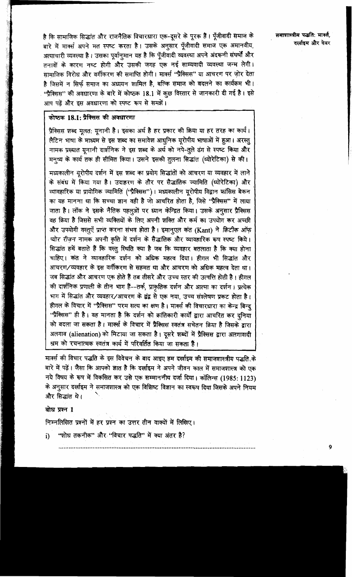है कि सामाजिक सिद्धांत और राजनैतिक विचारधारा एक-दूसरे के पूरक हैं। पूँजीवादी समाज के बारे में मार्क्स अपने मत स्पष्ट करता है। उसके अनुसार पूँजीवादी समाज एक अमानवीय, अत्याचारी व्यवस्था है। उसका पूर्वानमान यह है कि पूँजीवादी व्यवस्था अपने अंदरूनी संघर्षों और तनावों के कारण नष्ट होगी और उसकी जगह एक नई साम्यवादी व्यवस्था जन्म लेगी। सामाजिक विरोध और वर्गीकरण की समाप्ति होगी। मार्क्स ''प्रैक्सिस'' या आचरण पर जोर देता है जिसमें न सिर्फ समाज का अध्ययन शामिल है, बल्कि समाज को बदलने का कार्यक्रम भी। "प्रैक्सिस" की अवधारणा के बारे में कोष्ठक 18.1 में कुछ विस्तार से जानकारी दी गई है। इसे आप पढ़ें और इस अवधारणा को स्पष्ट रूप से समझें।

# कोष्ठक 18.1: प्रैक्सिस की अवधारणा

प्रैक्सिस शब्द मूलत: यूनानी है। इसका अर्थ है हर प्रकार की क्रिया या हर तरह का कार्य। लैटिन भाषा के माध्यम से इस शब्द का समावेश आधुनिक यूरोपीय भाषाओं में हुआ। अरस्तु नामक प्रख्यात यूनानी दार्शनिक ने इस शब्द के अर्थ को नपे-तूले ढंग से स्पष्ट किया और मनुष्य के कार्य तक ही सीमित किया। उसने इसकी तुलना सिद्धांत (थ्योरेटिका) से की।

मध्यकालीन युरोपीय दर्शन में इस शब्द का प्रयोग सिद्धांतों को आचरण या व्यवहार में लाने के संबंध में किया गया है। उदाहरण के तौर पर सैद्धांतिक ज्यामिति (थ्योरेटिका) और व्यावहारिक या प्रायोगिक ज्यामिति ("प्रैक्सिस")। मध्यकालीन यूरोपीय विद्वान फ्रांसिस बेकन का यह मानना था कि सच्चा ज्ञान वही है जो आचरित होता है, जिसे "प्रैक्सिस" में लाया जाता है। लॉक ने इसके नैतिक पहलुओं पर ध्यान केन्द्रित किया। उसके अनुसार प्रैक्सिस वह क्रिया है जिससे सभी व्यक्तियों के लिए अपनी शक्ति और कर्म का उपयोग कर अच्छी और उपयोगी वस्तूएँ प्राप्त करना संभव होता है। इमानूएल कंत (Kant) ने क्रिटीक ऑफ़ प्योर रीज़न नामक अपनी कृति में दर्शन के सैद्धांतिक और व्यावहारिक रूप स्पष्ट किये। सिद्धांत हमें बताते हैं कि वस्तु स्थिति क्या है जब कि व्यवहार बतलाता है कि क्या होना चाहिए। कंत ने व्यावहारिक दर्शन को अधिक महत्व दिया। हीगल भी सिद्धांत और आचरण/व्यवहार के इस वर्गीकरण से सहमत था और आचरण को अधिक महत्व देता था। जब सिद्धांत और आचरण एक होते हैं तब तीसरे और उच्च स्तर की उत्पत्ति होती है। हीगल की दार्शनिक प्रणाली के तीन भाग हैं--तर्क, प्राकृतिक दर्शन और आत्मा का दर्शन। प्रत्येक भाग में सिद्धांत और व्यवहार/आचरण के द्वंद्व से एक नया. उच्च संश्लेषण प्रकट होता है। हीगल के विचार में ''प्रैक्सिस'' परम सत्य का क्षण है। मार्क्स की विचारधारा का केन्द्र बिन्द "प्रैक्सिस" ही है। वह मानता है कि दर्शन को क्रांतिकारी कार्यों द्वारा आचरित कर दनिया को बदला जा सकता है। मार्क्स के विचार में प्रैक्सिस स्वतंत्र सचेतन क्रिया है जिसके द्वारा अलगाव (alienation) को मिटाया जा सकता है। दूसरे शब्दों में प्रैक्सिस द्वारा अलगावादी श्रम को रचनात्मक स्वतंत्र कार्य में परिवर्तित किया जा सकता है।

मार्क्स की विचार पद्धति के इस विवेचन के बाद आइए हम दर्खाइम की समाजशास्त्रीय पद्धति के बारे में पढ़ें। जैसा कि आपको ज्ञात है कि दर्खाइम ने अपने जीवन काल में समाजशास्त्र को एक नये विषय के रूप में विकसित कर उसे एक सम्माननीय दर्जा दिया। कॉलिन्स (1985: 1123) के अनुसार दर्खाइम ने समाजशास्त्र को एक विशिष्ट विज्ञान का स्वरूप दिया जिसके अपने नियम और सिद्धांत थे।

### बोध प्रश्न 1

निम्नलिखित प्रश्नों में हर प्रश्न का उत्तर तीन वाक्यों में लिखिए।

"शोध तकनीक" और "विचार पद्धति" में क्या अंतर है? i)

## समाशास्त्रीय पद्धति: मार्क्त, दर्खाइम और वेबर

 $\boldsymbol{Q}$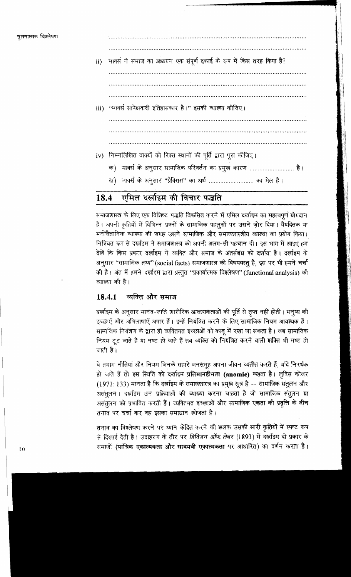

### एमिल दर्लाइम की विचार पद्धति 18.4

समाजशास्त्र के लिए एक विशिष्ट पद्धति विकसित करने में एमिल दर्खाइम का महत्वपूर्ण योगदान है। अपनी कृतियों में विभिन्न प्रश्नों के सामाजिक पहलुओं पर उसने जोर दिया। वैयदितक या मनोवैज्ञानिक व्याख्या की जगह उसने सामाजिक और समाजशास्त्रीय व्याख्या का प्रयोग किया। निश्चित रूप से दर्खाइम ने समाजशास्त्र को अपनी अलग-सी पहचान दी। इस भाग में आइए हम देखें कि किस प्रकार दर्खाइम ने व्यक्ति और समाज के अंतर्सबंध को दर्शाया है। दर्खाइम के अनुसार "सामाजिक तथ्य" (social facts) समाजशास्त्र की विषयवस्तु है, इस पर भी हमने चर्चा की है। अंत में हमने दर्खाइम द्वारा प्रस्तुत "प्रकार्यात्मक विश्लेषण" (functional analysis) की व्याख्या की है।

#### व्यक्ति और समाज 18.4.1

दर्खाइम के अनुसार मानव-जाति शारीरिक आवश्यकताओं की पूर्ति से तुप्त नहीं होती। मनूष्य की इच्छाएँ और अभिलाषाएँ अपार हैं। इन्हें नियंत्रित करने के लिए सामाजिक नियम आवश्यक हैं। सामाजिक नियंत्रण के द्वारा ही व्यक्तिगत इच्छाओं को काबू में रखा जा सकता है। जब सामाजिक नियम टूट जाते हैं या नष्ट हो जाते हैं तब व्यक्ति को नियंत्रित करने वाली शक्ति भी नष्ट हो जाती है।

वे तमाम नीतियां और नियम जिनके सहारे जनसमुह अपना जीवन व्यतीत करते हैं, यदि निरर्थक हो जाते हैं तो इस स्थिति को दर्खाइम प्रतिमानहीनता (anomie) कहता है। लुविस कोज़र (1971: 133) मानता है कि दर्खाइम के समाजशास्त्र का प्रमुख सूत्र है -- सामाजिक संतुलन और असंतुलन। दर्खाइम उन प्रक्रियाओं की व्याख्या करना चाहता है जो सामाजिक संतुलन या असंतुलन को प्रभावित करती हैं। व्यक्तिगत इच्छाओं और सामाजिक एकता की प्रवृत्ति के बीच तनाव पर चर्चा कर वह इसका समाधान खोजता है।

तनाव का विश्लेषण करने पर ध्यान केंद्रित करने की झलक उसकी सारी कृतियों में स्पष्ट रूप से दिखाई देती है। उदाहरण के तौर पर *डिविज़न ऑफ लेबर (*1893) में दर्खाइम दो प्रकार के समाजों (यांत्रिक एकात्मकता और सावयवी एकात्मकता पर आधारित) का वर्णन करता है।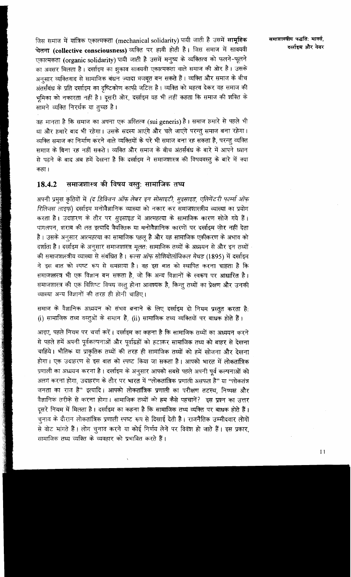जिस समाज में यांत्रिक एकात्मकता (mechanical solidarity) पायी जाती है उसमें सामूहिक चेतना (collective consciousness) व्यक्ति पर हावी होती है। जिस समाज में सावयवी एकात्मकता (organic solidarity) पायी जाती है उसमें मनुष्य के व्यक्तित्व को फलने-फूलने का अवसर मिलता है। दर्खाइम का झुकाव सावयवी एकात्मकता वाले समाज की ओर है। उसके अनसार व्यक्तिवाद से सामाजिक बंधन ज्यादा मजबूत बन सकते हैं। व्यक्ति और समाज के बीच अंतर्संबंध के प्रति दर्खाइम का दृष्टिकोण काफी जटिल है। व्यक्ति को महत्व देकर वह समाज की भमिका को नकारता नहीं है। दूसरी ओर, दर्खाइम यह भी नहीं कहता कि समाज की शक्ति के सामने व्यक्ति निरर्थक या तुच्छ है।

वह मानता है कि समाज का अपना एक अस्तित्व (sui generis) है। समाज हमारे से पहले भी था और हमारे बाद भी रहेगा। उसके सदस्य आएंगे और चले जाएंगे परन्तु समाज बना रहेगा। व्यक्ति समाज का निर्माण करने वाले व्यक्तियों के परे भी समाज बना रह सकता है, परन्तु व्यक्ति समाज के बिना रह नहीं सकते। व्यक्ति और समाज के बीच अंतर्सबंध के बारे में आपने ध्यान से पढने के बाद अब हमें देखना है कि दर्खाइम ने समाज<del>शा</del>स्त्र की विषयवस्तु के बारे में क्या कहा ।

### समाजशास्त्र की विषय वस्तुः सामाजिक तथ्<mark>य</mark> 18.4.2

अपनी प्रमुख कृतियों में (द डिविज़न ऑफ़ लेबर इन सोसाइटी, सुइसाइड, एलिमेंटरी फ़ार्म्स ऑफ़ रिलिजस लाइफ़) दर्खाइम मनोवैज्ञानिक व्याख्या को नकार कर समाजशास्त्रीय व्याख्या का प्रयोग करता है। उदाहरण के तौर पर सूइसाइड में आत्महत्या के सामाजिक कारण खोजे गये हैं। पागलपन, शराब की लत इत्यादि वैयक्तिक या मनोवैज्ञानिक कारणों पर दर्खाइम जोर नहीं देता है। उसके अनुसार आत्महत्या का सामाजिक पहलु है और यह सामाजिक एकीकरण के अभाव को दर्शाता है। दर्खाइम के अनूसार समाजशास्त्र मूलत: सामाजिक तथ्यों के अध्ययन से और इन तथ्यों की समाजशास्त्रीय व्याख्या से संबंधित है। रूल्स ऑफ सोशियोलॉजिकल मेथड (1895) में दर्खाइम ने इस बात को स्पष्ट रूप से समझाया है। वह इस बात को स्थापित करना चाहता है कि समाजशस्त्र भी एक विज्ञान बन सकता है. जो कि अन्य विज्ञानों के स्वरूप पर आधारित है। समाजशास्त्र की एक विशिष्ट विषय वस्तू होना आवश्यक है, किन्तु तथ्यों का प्रेक्षण और उनकी व्याख्या अन्य विज्ञानों की तरह ही होनी चाहिए।

समाज के वैज्ञानिक अध्ययन को संभव बनाने के लिए दर्खाइम दो नियम प्रस्तुत करता है: (i) सामाजिक तथ्य वस्तुओं के समान हैं. (ii) सामाजिक तथ्य व्यक्तियों पर बाधक होते हैं।

आइए, पहले नियम पर चर्चा करें। दर्खाइम का कहना है कि सामाजिक तथ्यों का अध्ययन करने से पहले हमें अपनी पूर्वकल्पनाओं और पूर्वाग्रहों को हटाकर सामाजिक तथ्य को बाहर से देखना चाहिये। भौतिक या प्राकृतिक तथ्यों की तरह ही सामाजिक तथ्यों को हमें खोजना और देखना होगा। एक उदाहरण से इस बात को स्पष्ट किया जा सकता है। आपको भारत में लोकतांत्रिक प्रणाली का अध्ययन करना है। दर्खाइम के अनुसार आपको सबसे पहले अपनी पूर्व कल्पनाओं को अलग करना होगा, उदाहरण के तौर पर भारत में "लोकतांत्रिक प्रणाली असफल है" या "लोकतंत्र जनता का राज है'' इत्यादि। आपको लोकतांत्रिक प्रणाली का परीक्षण तटस्थ. निष्पक्ष और वैज्ञानिक तरीके से करना होगा। सामाजिक तथ्यों को हम कैसे पहचानें? इस प्रश्न का उत्तर दूसरे नियम में मिलता है। दर्खाइम का कहना है कि सामाजिक तथ्य व्यक्ति पर बाधक होते हैं। चुनाव के दौरान लोकतांत्रिक प्रणाली स्पष्ट रूप से दिखाई देती है। राजनैतिक उम्मीदवार लोगों से वोट मांगते हैं। लोग चुनाव करने या कोई निर्णय लेने पर विवंश हो जाते हैं। इस प्रकार, सामाजिक तथ्य व्यक्ति के व्यवहार को प्रभावित करते हैं।

समाणास्त्रीय पद्धतिः मार्क्सः दर्खाइम और वेबर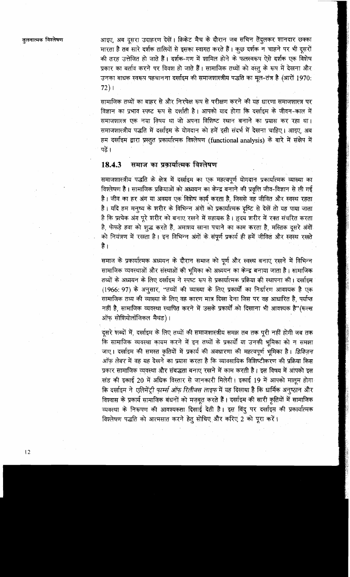तलनात्मक विश्लेषण

आइए, अब दूसरा उदाहरण देखें। क्रिकेट मैच के दौरान जब सचिन तेंदुलकर शानदार छक्का मारता है तब सारे दर्शक तालियों से इसका स्वागत करते हैं। कूछ दर्शक न चाहने पर भी दूसरों की तरह उत्तेजित हो जाते हैं। दर्शक-गण में शामिल होने के फलस्वरूप ऐसे दर्शक एक विशेष प्रकार का बर्ताव करने पर विवश हो जाते हैं। सामाजिक तथ्यों को वस्तु के रूप में देखना और उनका बाधक स्वरूप पहचानना दर्खाइम की समाजशास्त्रीय पद्धति का मूल-तंत्र है (आरों 1970:  $72)1$ 

सामाजिक तथ्यों का बाहर से और निरपेक्ष रूप से परीक्षण करने की यह धारणा समाजशास्त्र पर विज्ञान का प्रभाव स्पष्ट रूप से दर्शाती है। आपको याद होगा कि दर्खाइम के जीवन-काल में समाजशास्त्र एक नया विषय था जो अपना विशिष्ट स्थान बनाने का प्रयास कर रहा था। समाजशास्त्रीय पद्धति में दर्खाइम के योगदान को हमें इसी संदर्भ में देखना चाहिए। आइए अब हम दर्खाइम द्वारा प्रस्तुत प्रकार्यात्मक विश्लेषण (functional analysis) के बारे में संक्षेप में पढें ।

#### समाज का प्रकार्यात्मक विश्लेषण 18.4.3

समाजशास्त्रीय पद्धति के क्षेत्र में दर्खाइम का एक महत्वपूर्ण योगदान प्रकार्यात्मक व्याख्या का विश्लेषण है। सामाजिक प्रक्रियाओं को अध्ययन का केन्द्र बनाने की प्रवृत्ति जीव-विज्ञान से ली गई है। जीव का हर अंग या अवयव एक विशेष कार्य करता है, जिससे वह जीवित और स्वस्थ रहता है। यदि हम मनुष्य के शरीर के विभिन्न अंगों को प्रकार्यात्मक दृष्टि से देखें तो यह पाया जाता है कि प्रत्येक अंग पूरे शरीर को बनाए रखने में सहायक है। हृदय शरीर में रक्त संचरित करता है, फेफड़े हवा को शुद्ध करते हैं, अमाशय खाना पचाने का काम करता है, मस्तिक दूसरे अंगों को नियंत्रण में रखता है। इन विभिन्न अंगों के संपूर्ण प्रकार्य ही हमें जीवित और स्वस्थ रखते है ।

समाज के प्रकार्यात्मक अध्ययन के दौरान समाज को पूर्ण और स्वस्थ बनाएं रखने में विभिन्न सामाजिक व्यवस्थाओं और संस्थाओं की भूमिका को अध्ययन का केन्द्र बनाया जाता है। सामाजिक तथ्यों के अध्ययन के लिए दर्खाइम ने स्पष्ट रूप से प्रकार्यात्मक प्रक्रिया की स्थापना की। दर्खाइम (1966: 97) के अनुसार, "तथ्यों की व्याख्या के लिए प्रकार्यों का निर्धारण आवश्यक है एक सामाजिक तथ्य की व्याख्या के लिए वह कारण मात्र दिखा देना जिस पर वह आधारित है, पर्याप्त नहीं है, सामाजिक व्यवस्था स्थापित करने में उसके प्रकार्यों को दिखाना भी आवश्यक है" (रूल्स ऑफ सोशियोलॉजिकल मैथड)।

दूसरे शब्दों में, दर्खाइम के लिए तथ्यों की समाजशास्त्रीय समझ तब तक पूरी नहीं होगी जब तक कि सामाजिक व्यवस्था कायम करने में इन तथ्यों के प्रकार्यों या उनकी भूमिका को न समझा जाए। दर्खाइम की समस्त कृतियों में प्रकार्य की अवधारणा की महत्वपूर्ण भूमिका है। डिविज़न ऑफ लेबर में वह यह देखने का प्रयास करता है कि व्यावसायिक विशिष्टीकरण की प्रक्रिया किस प्रकार सामाजिक व्यवस्था और संबद्धता बनाए रखने में काम करती है। इस विषय में आपको इस खंड की इकाई 20 में अधिक विस्तार से जानकारी मिलेगी। इकाई 19 में आपको मालूम होगा कि दर्खाइम ने *एलिमेंट्री फ़ार्म्स ऑफ़ रिलीजस लाइफ़* में यह दिखाया है कि धार्मिक अनुष्ठान और विश्वास के प्रकार्य सामाजिक बंधनों को मज़बूत करते हैं। दर्खाइम की सारी कृतियों में सामाजिक व्यवस्था के निरूपण की आवश्यकता दिखाई देती है। इस बिंदु पर दर्खाइम की प्रकार्यात्मक विश्लेषण पद्धति को आत्मसात करने हेतू सोचिए और करिए 2 को पूरा करें।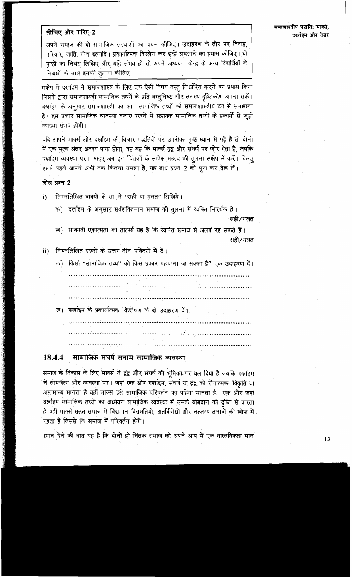# समाशास्त्रीय पद्धति: मार्क्स. दर्लाइम और वेबर

# सोचिए और करिए 2

अपने समाज की दो सामाजिक संस्थाओं का चयन कीजिए। उदाहरण के तौर पर विवाह, परिवार, जाति, गोत्र इत्यादि। प्रकार्यात्मक विश्लेण कर इन्हें समझाने का प्रयास कीजिए। दो पृष्ठों का निबंध लिखिए और यदि संभव हो तो अपने अध्ययन केन्द्र के अन्य विद्यर्थियों के निबंधों के साथ इसकी तुलना कीजिए।

संक्षेप में दर्खाइम ने समाजशास्त्र के लिए एक ऐसी विषय वस्तू निर्धारित करने का प्रयास किया जिसके द्वारा समाजशास्त्री सामाजिक तथ्यों के प्रति वस्तुनिष्ठ और तटस्थ दृष्टिकोण अपना सकें। दर्खाइम के अनुसार समाजशास्त्री का काम सामाजिक तथ्यों को समाजशास्त्रीय ढंग से समझाना है। इस प्रकार सामाजिक व्यवस्था बनाए रखने में सहायक सामाजिक तथ्यों के प्रकार्यों से जुड़ी व्याख्या संभव होगी।

यदि आपने मार्क्स और दर्खाइम की विचार पद्धतियों पर उपरोक्त पृष्ठ ध्यान से पढ़े हैं तो दोनों में एक मुख्य अंतर अवश्य पाया होगा, वह यह कि मार्क्स द्वंद्व और संघर्ष पर ज़ोर देता है, जबकि दर्लाइम व्यवस्था पर। आइए अब इन चिंतकों के सापेक्ष महत्व की तुलना संक्षेप में करें। किन्तू इससे पहले आपने अभी तक कितना समझा है, यह बाध प्रश्न 2 को पूरा कर देख लें।

### बोध प्रश्न 2

निम्नलिखित वाक्यों के सामने "सही या गलत" लिखिये।  $i)$ 

क) दर्खाइम के अनुसार सर्वशक्तिमान समाज की तुलना में व्यक्ति निरर्थक है। सही∕गलत

ख) सावयवी एकात्मता का तात्पर्य यह है कि व्यक्ति समाज से अलग रह सकते हैं। सही∕गलत

निम्नलिखित प्रश्नों के उत्तर तीन पंक्तियों में दें। ii)

- क) किसी "सामाजिक तथ्य" को किस प्रकार पहचाना जा सकता है? एक उदाहरण दें।
- 
- ख) दर्खाइम के प्रकार्यात्मक विश्लेषण के दो उदाहरण दें।

### सामाजिक संघर्ष बनाम सामाजिक व्यवस्था 18.4.4

समाज के विकास के लिए मार्क्स ने द्वंद्व और संघर्ष की भूमिका पर बल दिया है जबकि दर्खाइम ने सामंजस्य और व्यवस्था पर। जहाँ एक ओर दर्खाइम, संघर्ष या द्वंद्व को रोगात्मक, विकृति या असामान्य मानता है वहीं मार्क्स इसे सामाजिक परिवर्तन का पहिया मानता है। एक और जहां दर्खाइम सामाजिक तथ्यों का अध्ययन सामाजिक व्यवस्था में उसके योगदान की दृष्टि से करता है वहीं मार्क्स सतत समाज में विद्यमान विसंगतियों, अंतर्विरोधों और तत्जन्य तनावों की खोज में रहता है जिससे कि समाज में परिवर्तन होंगे।

ध्यान देने की बात यह है कि दोनों ही चिंतक समाज को अपने आप में एक वास्तविकता मान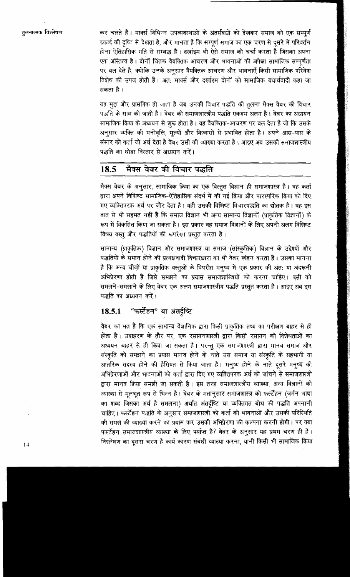कर चलते हैं। मार्क्स विभिन्न उपव्यवस्थाओं के अंतर्संबधों को देखकर समाज को एक सम्पूर्ण इकाई की दृष्टि से देखता है, और मानता है कि सम्पूर्ण समाज का एक चरण से दूसरे में परिवर्तन होना ऐतिहासिक गति से सम्बद्ध है। दर्खाइम भी ऐसे समाज की चर्चा करता है जिसका अपना एक अस्तित्व है। दोनों चिंतक वैयक्तिक आचरण और भावनाओं की अपेक्षा सामाजिक सम्पूर्णता पर बल देते हैं, क्योंकि उनके अनुसार वैयक्तिक आचरण और भावनाएँ किसी सामाजिक परिवेश विशेष की उपज होती हैं। अत: मार्क्स और दर्खाइम दोनों को सामाजिक यथार्थवादी कहा जा सकता है ।

यह मुद्दा और प्रासंगिक हो जाता है जब उनकी विचार पद्धति की तुलना मैक्स वेबर की विचार पद्धति के साथ की जाती है। वेबर की समाजशास्त्रीय पद्धति एकदम अलग है। वेबर का अध्ययन सामाजिक क्रिया के अध्ययन से शुरू होता है। वह वैयक्तिक-आचरण पर बल देता है जो कि उसके अनूसार व्यक्ति की मनोवृत्ति, मूल्यों और विश्वासों से प्रभावित होता है। अपने आस-पास के संसार को कर्ता जो अर्थ देता है वेबर उसी की व्याख्या करता है। आइए अब उसकी समाजशास्त्रीय पद्धति का थोडा विस्तार से अध्ययन करें।

### मैक्स वेबर की विचार पद्धति 18.5

मैक्स वेबर के अनुसार, सामाजिक क्रिया का एक विस्तृत विज्ञान ही समाजशास्त्र है। वह कर्ता द्वारा अपने विशिष्ट सामाजिक-ऐतिहासिक संदर्भ में की गई क्रिया और पारस्परिक क्रिया को दिए गए व्यक्तिपरक अर्थ पर जोर देता है। यही उसकी विशिष्ट विचारपद्धति का द्योतक है। वह इस बात से भी सहमत नहीं है कि समाज विज्ञान भी अन्य सामान्य विज्ञानों (प्राकृतिक विज्ञानों) के रूप में विकसित किया जा सकता है। इस प्रकार वह समाज विज्ञानों के लिए अपनी अलग विशिष्ट विषय वस्तु और पद्धतियों की रूपरेखा प्रस्तुत करता है।

सामान्य (प्राकृतिक) विज्ञान और समाजशास्त्र या समाज (सांस्कृतिक) विज्ञान के उद्देश्यों और पद्धतियों के समान होने की प्रत्यक्षवादी विचारधारा का भी वेबर खंडन करता है। उसका मानना है कि अन्य चीज़ों या प्राकृतिक वस्तुओं के विपरीत मनूष्य में एक प्रकार की अंत: या अंदरूनी अभिप्रेरणा होती है जिसे समझने का प्रयास समाजशास्त्रियों को करना चाहिए। इसी को समझने-समझाने के लिए वेबर एक अलग समाजशास्त्रीय पद्धति प्रस्तुत करता है। आइए अब इस पद्धति का अध्ययन करें।

#### "फर्स्टेहन" या अंतर्दृष्टि 18.5.1

वेबर का मत है कि एक सामान्य वैज्ञानिक द्वारा किसी प्राकृतिक तथ्य का परीक्षण बाहर से ही होता है। उदाहरण के तौर पर, एक रसायनशास्त्री द्वारा किसी रसायन की विशेषताओं का अध्ययन बाहर से ही किया जा सकता है। परन्तू एक समाजशास्त्री द्वारा मानव समाज और संस्कृति को समझने का प्रयास मानव होने के नाते उस समाज या संस्कृति के सहभागी या आंतरिक सदस्य होने की हैसियत से किया जाता है। मनुष्य होने के नाते दूसरे मनुष्य की अभिप्रेरणाओं और भावनाओं को कर्ता द्वारा दिए गए व्यक्तिपरक अर्थ को जांचने से समाजशास्त्री द्वारा मानव क्रिया समझी जा सकती है। इस तरह समाजशास्त्रीय व्याख्या, अन्य विज्ञानों की व्याख्या से मूलभूत रूप से भिन्न है। वेबर के मतानूसार समाजशास्त्र को फर्स्टेहन (जर्मन भाषा का शब्द जिसका अर्थ है समझना) अर्थात अंतर्दृष्टि या व्यक्तिगत बोध की पद्धति अपनानी चाहिए। फर्स्टेहन पद्धति के अनुसार समाजशास्त्री को कर्ता की भावनाओं और उसकी परिस्थिति की समझ की व्याख्या करने का प्रयास कर उसकी अभिप्रेरणा की कल्पना करनी होगी। पर क्या फर्स्टेहन समाजशास्त्रीय व्याख्या के लिए पर्याप्त है? वेबर के अनुसार यह प्रथम चरण ही है। विश्लेषण का दुसरा चरण है कार्य कारण संबंधी व्याख्या करना, यानी किसी भी सामाजिक क्रिया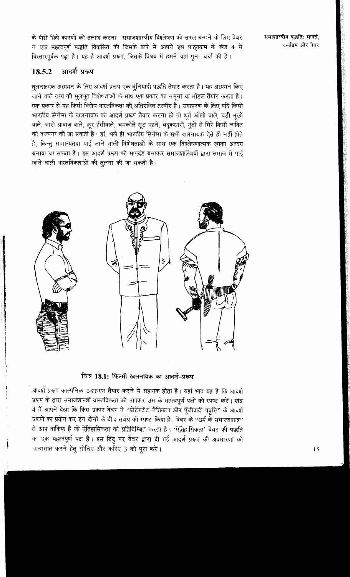के पीछे छिपे कारणों को तलाश करना। समाजशास्त्रीय विश्लेषण को सरल बनाने के लिए वेबर ने एक महत्वपूर्ण पद्धति विकसित की जिसके बारे में आपने इस पाठ्यक्रम के खंड 4 में विस्तारपूर्वक पढ़ा है। यह है आदर्श प्ररूप, जिसके विषय में हमने यहां पून: चर्चा की है।

आदर्श प्ररूप 18.5.2

तुलनात्मक अध्ययन के लिए आदर्श प्ररूप एक बुनियादी पद्धति तैयार करता है। यह अध्ययन किए जाने वाले तथ्य की मूलभूत विशेषताओं के साथ एक प्रकार का नमूना या मॉडल तैयार करता है। एक प्रकार से यह किसी विशेष वास्तविकता की अतिरंजित तस्वीर है। उदाहरण के लिए यदि किसी भारतीय सिनेमा के खलनायक का आदर्श प्ररूप तैयार करना हो तो धूर्त आँखों वाले, बड़ी मूछों वाले, भारी आवाज़ वाले, क्रूर हँसीवाले, चमकीले सूट पहने, बंदूकधारी, गुंडों से घिरे किसी व्यक्ति की कल्पना की जा सकती है। हां, भले ही भारतीय सिनेमा के सभी खलनायक ऐसे ही नहीं होते हैं, किन्तू सामान्यतया पाई जाने वाली विशेषताओं के साथ एक विश्लेषणात्मक खाका अवश्य बनाया जा सकता है। इस आदर्श प्ररूप को मापदंड बनाकर समाजशास्त्रियों द्वारा समाज में पाई जाने वाली बास्तविकताओं की तुलना की जा सकती है।



चित्र 18.1: फिल्मी खलनायक का आदर्श-प्ररूप

आदर्श प्ररूप काल्पनिक उदाहरण तैयार करने में सहायक होता है। यहां भाव यह है कि आदर्श प्ररूप के द्वारा समाजशास्त्री वास्तविकता को मापकर उस के महत्वपूर्ण पक्षों को स्पष्ट करें। खंड 4 में आपने देखा कि किस प्रकार वेबर ने "प्रोटेस्टेंट नैतिकता और पूँजीवादी प्रवृत्ति" के आदर्श प्ररूपों का प्रयोग कर इन दोनों के बीच संबंध को स्पष्ट किया है। वेबर के "धर्म के समाजशास्त्र" से आप वाकि़फ हैं जो ऐतिहासिकता को प्रतिबिम्बित करता है। 'ऐतिहासिकता' वेबर की पद्धति का एक महत्वपूर्ण पक्ष है। इस बिंदु पर वेबर द्वारा दी गई आदर्श प्ररूप की अवधारणा को आत्मसात करने हेतु सोचिए और करिए 3 को पूरा करें।

समाशास्त्रीय पद्धतिः मार्क्स. दर्खाइम और वेबर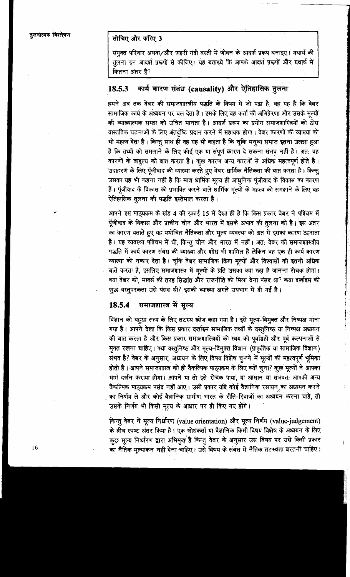# सोचिए और करिए 3

संयुक्त परिवार अथवा/और शहरी गंदी बस्ती में जीवन के आदर्श प्ररूप बनाइए। यथार्थ की तुलना इन आदर्श प्ररूपों से कीजिए। यह बताइये कि आपके आदर्श प्ररूपों और यथार्थ में कितना अंतर है?

#### कार्य कारण संबंध (causality) और ऐतिहासिक तुलना 18.5.3

हमने अब तक वेबर की समाजशास्त्रीय पद्धति के विषय में जो पढ़ा है, वह यह है कि वेबर सामाजिक कार्य के अध्ययन पर बल देता है। इसके लिए वह कर्ता की अभिप्रेरणा और उसके मूल्यों की व्याख्यात्मक समझ को उचित मानता है। आदर्श प्ररूप का प्रयोग समाजशास्त्रियों को ठोस वास्तविक घटनाओं के लिए अंतर्दृष्टि प्रदान करने में सहायक होगा। वेबर कारणों की व्याख्या को भी महत्व देता है। किन्तु साथ ही वह यह भी कहता है कि चूंकि मनुष्य समाज इतना उलझा हुआ है कि तथ्यों को समझाने के लिए कोई एक या संपूर्ण कारण दे सकना संभव नहीं है। अत: वह कारणों के बाहुल्य की बात करता है। कुछ कारण अन्य कारणों से अधिक महत्वपूर्ण होते है। उदाहरण के लिए पूँजीवाद की व्याख्या करते हुए वेबर धार्मिक नैतिकता की बात करता है। किन्तु उसका यह भी कहना नहीं है कि मात्र धार्मिक मूल्य ही आधूनिक पूंजीवाद के विकास का कारण हैं। पूंजीवाद के विकास को प्रभावित करने वाले धार्मिक मूल्यों के महत्व को समझाने के लिए वह ऐतिहासिक तुलना की पद्धति इस्तेमाल करता है।

आपने इस पाठ्यक्रम के खंड 4 की इकाई 15 में देखा ही है कि किस प्रकार वेबर ने पश्चिम में पूँजीवाद के विकास और प्राचीन चीन और भारत में इसके अभाव की तुलना की है। इस अंतर का कारण बताते हुए वह यथोचित नैतिकता और मूल्य व्यवस्था को अंत में इसका कारण ठहराता है। यह व्यवस्था पश्चिम में थी, किन्तु चीन और भारत में नहीं। अत: वेबर की समाजशास्त्रीय पद्धति में कार्य कारण संबंध की व्याख्या और शोध भी शामिल हैं लेकिन वह एक ही कार्य कारण व्याख्या को नकार देता है। चूंकि वेबर सामाजिक किया मूल्यों और विश्वासों की इतनी अधिक बातें करता है, इसलिए समाजशास्त्र में मूल्यों के प्रति उसका क्या रुख है जानना रोचक होगा। क्या वेबर को, मार्क्स की तरह सिद्धांत और राजनीति को मिला देना पंसद था? कया दर्खाइम की शूद्ध वस्तूपरकता उसे पंसद थी? इसकी व्याख्या अगले उपभाग में दी गई है।

#### 18.5.4 समाजशास्त्र में मुल्य

विज्ञान को बहुधा सत्य के लिए तटस्थ खोज कहा गया है। इसे मूल्य-विमुक्त और निष्पक्ष माना गया है। आपने देखा कि किस प्रकार दर्खाइम सामाजिक तथ्यों के वस्तुनिष्ठ या निष्पक्ष अध्ययन की बात करता है और किस प्रकार समाजशास्त्रियों को स्वयं को पूर्वाग्रहों और पूर्व कल्पनाओं से मुक्त रखना चाहिए। क्या वस्तुनिष्ठ और मूल्य-विमुक्त विज्ञान (प्राकृतिक या सामाजिक विज्ञान) संभव है? वेबर के अनुसार, अध्ययन के लिए विषय विशेष चूनने में मूल्यों की महत्वपूर्ण भूमिका होती है। आपने समाजशास्त्र को ही वैकल्पिक पाठ्यक्रम के लिए क्यों चूना? कुछ मूल्यों ने आपका मार्ग दर्शन कराया होगा। आपने या तो इसे रोचक पाया, या आसान या संभवत: आपको अन्य वैकल्पिक पाठ्यक्रम पसंद नहीं आए। उसी प्रकार यदि कोई वैज्ञानिक रसायन का अध्ययन करने का निर्णय ले और कोई वैज्ञानिक ग्रामीण भारत के रीति-रिवाजों का अध्ययन करना चाहे, तो उसके निर्णय भी किसी मूल्य के आधार पर ही किए गए होंगे।

किन्तु वेबर ने मूल्य निर्धारण (value orientation) और मूल्य निर्णय (value-judgement) के बीच स्पष्ट अंतर किया है। एक शोधकर्ता या वैज्ञानिक किसी विषय विशेष के अध्ययन के लिए कुछ मूल्य निर्धारण द्वारा अभिमूल है किन्तु वेबर के अनुसार उस विषय पर उसे किसी प्रकार का मैतिक मूल्यांकन नहीं देना चाहिए। उसे विषय के संबंध में नैतिक तटस्थता बरतनी चाहिए।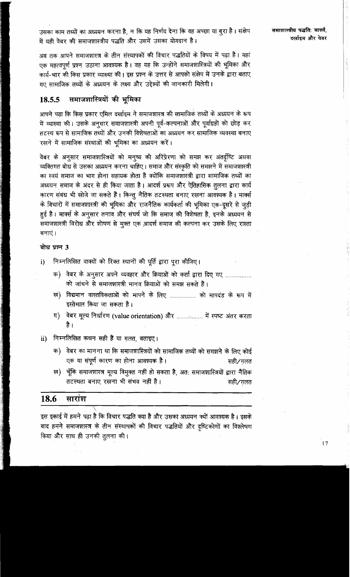उसका काम तथ्यों का अध्ययन करना है, न कि यह निर्णय देना कि वह अच्छा या बुरा है। संक्षेप में यही वेबर की समाजशास्त्रीय पद्धति और उसमें उसका योगदान है।

अब तक आपने समाजशास्त्र के तीन संस्थापकों की विचार पद्धतियों के विषय में पढ़ा है। यहां एक महत्वपूर्ण प्रश्न उठाना आवश्यक है। वह यह कि उन्होंने समाजशास्त्रियों की भूमिका और कार्य-भार की किस प्रकार व्याख्या की। इस प्रश्न के उत्तर से आपको संक्षेप में उनके द्वारा बताए गए सामाजिक तथ्यों के अध्ययन के लक्ष्य और उद्देश्यों की जानकारी मिलेगी।

#### समाजशास्त्रियों की भूमिका 18.5.5

आपने पढा कि किस प्रकार एमिल दर्खाइम ने समाजशास्त्र की सामाजिक तथ्यों के अध्ययन के रूप में व्याख्या की। उसके अनुसार समाजशास्त्री अपनी पूर्व-कल्पनाओं और पूर्वाग्रहों को छोड़ कर तटस्थ रूप से सामाजिक तथ्यों और उनकी विशेषताओं का अध्ययन कर सामाजिक व्यवस्था बनाए रखने में सामाजिक संस्थाओं की भूमिका का अध्ययन करें।

वेबर के अनुसार समाजशास्त्रियों को मनुष्य की अरिप्रेरणा को समझ कर अंतर्दृष्टि अथवा व्यक्तिगत बोध से उसका अध्ययन करना चाहिए। समाज और संस्कृति को समझने में समाजशास्त्री का स्वयं समाज का भाग होना सहायक होता है क्योंकि समाजशास्त्री द्वारा सामाजिक तथ्यों का अध्ययन समाज के अंदर से ही किया जाता है। आदर्श प्ररूप और ऐतिहासिक तुलना द्वारा कार्य कारण संबंध भी खोजे जा सकते हैं। किन्तु नैतिक तटस्थता बनाए रखना आवश्यक है। मार्क्स के विचारों में समाजशास्त्री की भूमिका और राजनैतिक कार्यकर्ता की भूमिका एक-दूसरे से जुड़ी हुई है। मार्क्स के अनुसार तनाव और संघर्ष जो कि समाज की विशेषता है, इनके अध्ययन से समाजशास्त्री विरोध और शोषण से मुक्त एक आदर्श समाज की कल्पना कर उसके लिए रास्ता बनाएं।

## बोध प्रश्न 3

- निम्नलिखित वाक्यों को रिक्त स्थानों की पूर्ति द्वारा पूरा कीजिए।  $\mathbf{i}$ 
	- वेबर के अनुसार अपने व्यवहार और क्रियाओं को कर्ता द्वारा दिए गए ................ क) । को जांचने से समाजशास्त्री मानव क्रियाओं को समझ सकते हैं।
	- ख) विद्यमान वास्तविकताओं को मापने के लिए ................ को मापदंड के रूप में इस्तेमाल किया जा सकता है।
	- ग) वेबर मूल्य निर्धारण (value orientation) और ................. में स्पष्ट अंतर करता है ।
- निम्नलिखित कथन सही हैं या गलत, बताइए।  $\overline{ii}$ 
	- क) वेबर का मानना था कि समाजशास्त्रियों को सामाजिक तथ्यों को समझने के लिए कोई एक या संपूर्ण कारण का होना आवश्यक है। सही∕गलत
	- ख) चूँकि समाजशास्त्र मूल्य विमुक्त नहीं हो सकता है, अत: समाजशास्त्रियों द्वारा नैतिक तटस्थता बनाए रखना भी संभव नहीं है। सही∕गलत

#### 18.6 सारांश

इस इकाई में हमने पढ़ा है कि विचार पद्धति क्या है और उसका अध्ययन क्यों आवश्यक है। इसके बाद हमने समाजशास्त्र के तीन संस्थापकों की विचार पद्धतियों और दृष्टिकोणों का विश्लेषण किया और साथ ही उनकी तूलना की।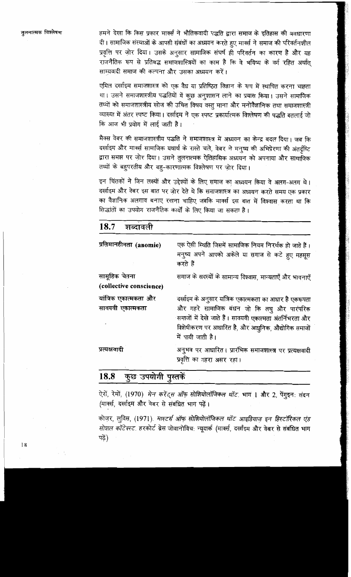तुलनात्मक विश्लेषण

हमने देखा कि किस प्रकार मार्क्स ने भौतिकवादी पद्धति द्वारा समाज के इतिहास की अवधारणा दी। सामाजिक संस्थाओं के आपसी संबंधों का अध्ययन करते हुए मार्क्स ने समाज की परिवर्तनशील प्रवृत्ति पर जोर दिया। उसके अनुसार सामाजिक संघर्ष ही परिवर्तन का कारण है और यह राजनैतिक रूप से प्रतिबद्ध समाजशास्त्रियों का काम है कि वे भविष्य के वर्ग रहित अर्थात साम्यवादी समाज की कल्पना और उसका अध्ययन करें।

एमिल दर्खाइम समाजशास्त्र को एक वैध या प्रतिष्ठित विज्ञान के रूप में स्थापित करना चाहता था। उसने समाजशास्त्रीय पद्धतियों में कुछ अनुशासन लाने का प्रयास किया। उसने सामाजिक तथ्यों को समाजशास्त्रीय खोज की उचित विषय वस्तु माना और मनोवैज्ञानिक तथा समाजशास्त्री व्याख्या में अंतर स्पष्ट किया। दर्खाइम ने एक स्पष्ट प्रकार्यात्मक विश्लेषण की पद्धति बतलाई जो कि आज भी प्रयोग में लाई जाती है।

मैक्स वेबर की समाजशास्त्रीय पद्धति ने समाजशास्त्र में अध्ययन का केन्द्र बदल दिया। जब कि दर्खाइम और मार्क्स सामाजिक यथार्थ के रास्ते चले, वेबर ने मनष्य की अभिप्रेरणा की अंतर्दछिट द्वारा समझ पर ज़ोर दिया। उसने तुलनात्मक ऐतिहासिक अध्ययन को अपनाया और सामाजिक तथ्यों के बहुपरतीय और बह-कारणात्मक विश्लेषण पर जोर दिया।

इन चिंतकों ने जिन लक्ष्यों और उद्देश्यों के लिए समाज का अध्ययन किया वे अलग-अलग थे। दर्खाइम और वेबर इस बात पर जोर देते थे कि समाजशास्त्र का अध्ययन करते समय एक प्रकार का वैज्ञानिक अलगाव बनाए रखना चाहिए जबकि मार्क्स इस बात में विश्वास करता था कि सिद्धांतों का उपयोग राजनैतिक कार्यों के लिए किया जा सकता है।

| 18.7<br>शब्दावली                          |                                                                                                                                                                                                                                              |
|-------------------------------------------|----------------------------------------------------------------------------------------------------------------------------------------------------------------------------------------------------------------------------------------------|
| प्रतिमानहीनता (anomie)                    | एक ऐसी स्थिति जिसमें सामाजिक नियम निरर्थक हो जाते हैं।<br>मनुष्य अपने आपको अकेले या समाज से कटे हुए महसूस<br>करते हैं                                                                                                                        |
| सामूहिक चेतना<br>(collective conscience)  | समाज के सदस्यों के सामान्य विश्वास, मान्यताएँ और भावनाएँ                                                                                                                                                                                     |
| यांत्रिक एकात्मकता और<br>सावयवी एकात्मकता | दर्खाइम के अनुसार यांत्रिक एकात्मकता का आधार है एकरूपता<br>और गहरे सामाजिक बंधन जो कि लघु और पारंपरिक<br>समाजों में देखे जाते हैं। सावयवी एकात्मता अंतर्निभरता और<br>विशेषीकरण पर आधारित है, और आधुनिक, औद्योगिक समाजों<br>में पायी जाती है। |
| प्रत्यक्षवादी                             | अनुभव पर आधारित। प्रारंभिक समाजशास्त्र पर प्रत्यक्षवादी<br>प्रवृत्ति का गहरा असर रहा।                                                                                                                                                        |

### कुछ उपयोगी पुस्तकें 18.8

ऐरों, रेमों, (1970). मेन करेंट्स ऑफ़ सोशियोलॉजिकल थॉट. भाग 1 और 2, पेंगूइन: लंदन (मार्क्स, दर्खाइम और वेबर से संबंधित भाग पढ़ें।

कोज़र, लुविस, (1971). मास्टर्स ऑफ़ सोशियोलॉजिकल थॉट आइडियाज़ इन हिस्टॉरिकल एंड *सोशल कॉटेक्स्ट.* हरकोर्ट ब्रेस जोवानोविच: न्यूयार्क (मार्क्स, दर्खाइम और वेबर से संबंधित भाग पढें)